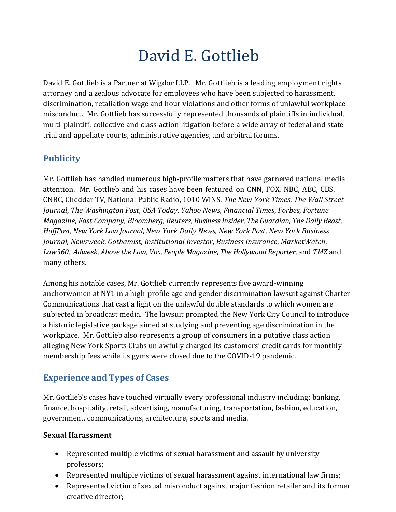# David E. Gottlieb

David E. Gottlieb is a Partner at Wigdor LLP. Mr. Gottlieb is a leading employment rights attorney and a zealous advocate for employees who have been subjected to harassment, discrimination, retaliation wage and hour violations and other forms of unlawful workplace misconduct. Mr. Gottlieb has successfully represented thousands of plaintiffs in individual, multi-plaintiff, collective and class action litigation before a wide array of federal and state trial and appellate courts, administrative agencies, and arbitral forums.

# **Publicity**

Mr. Gottlieb has handled numerous high-profile matters that have garnered national media attention. Mr. Gottlieb and his cases have been featured on CNN, FOX, NBC, ABC, CBS, CNBC, Cheddar TV, National Public Radio, 1010 WINS, *The New York Times*, *The Wall Street Journal*, *The Washington Post*, *USA Today*, *Yahoo News*, *Financial Times*, *Forbes*, *Fortune Magazine*, *Fast Company*, *Bloomberg*, *Reuters*, *Business Insider*, *The Guardian*, *The Daily Beast*, *HuffPost*, *New York Law Journal*, *New York Daily News*, *New York Post*, *New York Business Journal, Newsweek*, *Gothamist*, *Institutional Investor*, *Business Insurance*, *MarketWatch*, *Law360*, *Adweek*, *Above the Law*, *Vox*, *People Magazine*, *The Hollywood Reporter*, and *TMZ* and many others.

Among his notable cases, Mr. Gottlieb currently represents five award-winning anchorwomen at NY1 in a high-profile age and gender discrimination lawsuit against Charter Communications that cast a light on the unlawful double standards to which women are subjected in broadcast media. The lawsuit prompted the New York City Council to introduce a historic legislative package aimed at studying and preventing age discrimination in the workplace. Mr. Gottlieb also represents a group of consumers in a putative class action alleging New York Sports Clubs unlawfully charged its customers' credit cards for monthly membership fees while its gyms were closed due to the COVID-19 pandemic.

# **Experience and Types of Cases**

Mr. Gottlieb's cases have touched virtually every professional industry including: banking, finance, hospitality, retail, advertising, manufacturing, transportation, fashion, education, government, communications, architecture, sports and media.

### **Sexual Harassment**

- Represented multiple victims of sexual harassment and assault by university professors;
- Represented multiple victims of sexual harassment against international law firms;
- Represented victim of sexual misconduct against major fashion retailer and its former creative director;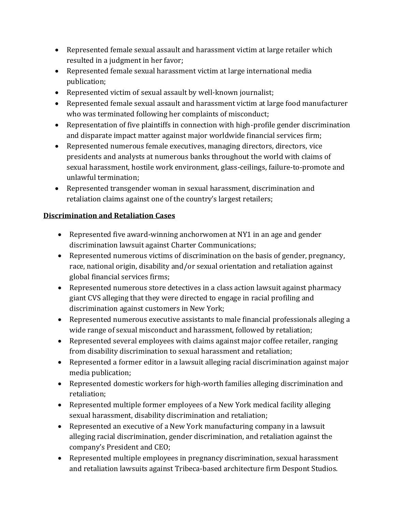- Represented female sexual assault and harassment victim at large retailer which resulted in a judgment in her favor;
- Represented female sexual harassment victim at large international media publication;
- Represented victim of sexual assault by well-known journalist;
- Represented female sexual assault and harassment victim at large food manufacturer who was terminated following her complaints of misconduct;
- Representation of five plaintiffs in connection with high‐profile gender discrimination and disparate impact matter against major worldwide financial services firm;
- Represented numerous female executives, managing directors, directors, vice presidents and analysts at numerous banks throughout the world with claims of sexual harassment, hostile work environment, glass-ceilings, failure-to-promote and unlawful termination;
- Represented transgender woman in sexual harassment, discrimination and retaliation claims against one of the country's largest retailers;

#### **Discrimination and Retaliation Cases**

- Represented five award-winning anchorwomen at NY1 in an age and gender discrimination lawsuit against Charter Communications;
- Represented numerous victims of discrimination on the basis of gender, pregnancy, race, national origin, disability and/or sexual orientation and retaliation against global financial services firms;
- Represented numerous store detectives in a class action lawsuit against pharmacy giant CVS alleging that they were directed to engage in racial profiling and discrimination against customers in New York;
- Represented numerous executive assistants to male financial professionals alleging a wide range of sexual misconduct and harassment, followed by retaliation;
- Represented several employees with claims against major coffee retailer, ranging from disability discrimination to sexual harassment and retaliation;
- Represented a former editor in a lawsuit alleging racial discrimination against major media publication;
- Represented domestic workers for high-worth families alleging discrimination and retaliation;
- Represented multiple former employees of a New York medical facility alleging sexual harassment, disability discrimination and retaliation;
- Represented an executive of a New York manufacturing company in a lawsuit alleging racial discrimination, gender discrimination, and retaliation against the company's President and CEO;
- Represented multiple employees in pregnancy discrimination, sexual harassment and retaliation lawsuits against Tribeca-based architecture firm Despont Studios.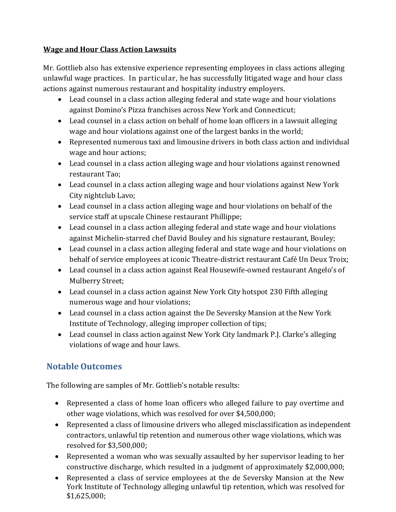#### **Wage and Hour Class Action Lawsuits**

Mr. Gottlieb also has extensive experience representing employees in class actions alleging unlawful wage practices. In particular, he has successfully litigated wage and hour class actions against numerous restaurant and hospitality industry employers.

- Lead counsel in a class action alleging federal and state wage and hour violations against Domino's Pizza franchises across New York and Connecticut;
- Lead counsel in a class action on behalf of home loan officers in a lawsuit alleging wage and hour violations against one of the largest banks in the world;
- Represented numerous taxi and limousine drivers in both class action and individual wage and hour actions;
- Lead counsel in a class action alleging wage and hour violations against renowned restaurant Tao;
- Lead counsel in a class action alleging wage and hour violations against New York City nightclub Lavo;
- Lead counsel in a class action alleging wage and hour violations on behalf of the service staff at upscale Chinese restaurant Phillippe;
- Lead counsel in a class action alleging federal and state wage and hour violations against Michelin-starred chef David Bouley and his signature restaurant, Bouley;
- Lead counsel in a class action alleging federal and state wage and hour violations on behalf of service employees at iconic Theatre-district restaurant Café Un Deux Troix;
- Lead counsel in a class action against Real Housewife-owned restaurant Angelo's of Mulberry Street;
- Lead counsel in a class action against New York City hotspot 230 Fifth alleging numerous wage and hour violations;
- Lead counsel in a class action against the De Seversky Mansion at the New York Institute of Technology, alleging improper collection of tips;
- Lead counsel in class action against New York City landmark P.J. Clarke's alleging violations of wage and hour laws.

# **Notable Outcomes**

The following are samples of Mr. Gottlieb's notable results:

- Represented a class of home loan officers who alleged failure to pay overtime and other wage violations, which was resolved for over \$4,500,000;
- Represented a class of limousine drivers who alleged misclassification as independent contractors, unlawful tip retention and numerous other wage violations, which was resolved for \$3,500,000;
- Represented a woman who was sexually assaulted by her supervisor leading to her constructive discharge, which resulted in a judgment of approximately \$2,000,000;
- Represented a class of service employees at the de Seversky Mansion at the New York Institute of Technology alleging unlawful tip retention, which was resolved for \$1,625,000;